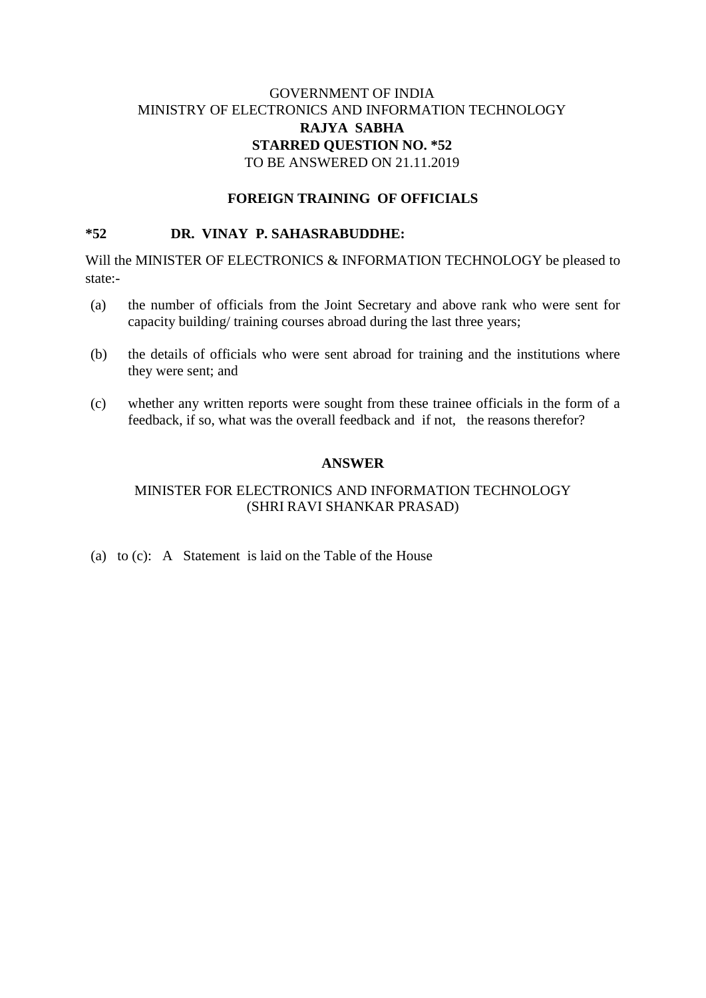# GOVERNMENT OF INDIA MINISTRY OF ELECTRONICS AND INFORMATION TECHNOLOGY **RAJYA SABHA STARRED QUESTION NO. \*52** TO BE ANSWERED ON 21.11.2019

#### **FOREIGN TRAINING OF OFFICIALS**

#### **\*52 DR. VINAY P. SAHASRABUDDHE:**

Will the MINISTER OF ELECTRONICS & INFORMATION TECHNOLOGY be pleased to state:-

- (a) the number of officials from the Joint Secretary and above rank who were sent for capacity building/ training courses abroad during the last three years;
- (b) the details of officials who were sent abroad for training and the institutions where they were sent; and
- (c) whether any written reports were sought from these trainee officials in the form of a feedback, if so, what was the overall feedback and if not, the reasons therefor?

#### **ANSWER**

#### MINISTER FOR ELECTRONICS AND INFORMATION TECHNOLOGY (SHRI RAVI SHANKAR PRASAD)

(a) to (c): A Statement is laid on the Table of the House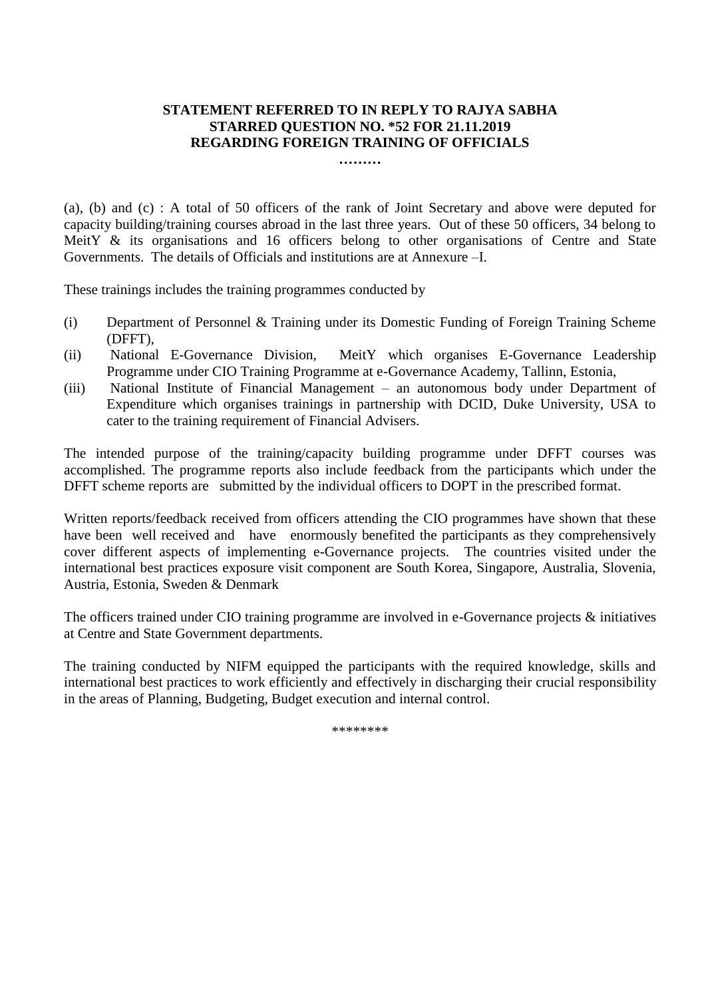### **STATEMENT REFERRED TO IN REPLY TO RAJYA SABHA STARRED QUESTION NO. \*52 FOR 21.11.2019 REGARDING FOREIGN TRAINING OF OFFICIALS**

**………**

(a), (b) and (c) : A total of 50 officers of the rank of Joint Secretary and above were deputed for capacity building/training courses abroad in the last three years. Out of these 50 officers, 34 belong to MeitY & its organisations and 16 officers belong to other organisations of Centre and State Governments. The details of Officials and institutions are at Annexure –I.

These trainings includes the training programmes conducted by

- (i) Department of Personnel & Training under its Domestic Funding of Foreign Training Scheme (DFFT),
- (ii) National E-Governance Division, MeitY which organises E-Governance Leadership Programme under CIO Training Programme at e-Governance Academy, Tallinn, Estonia,
- (iii) National Institute of Financial Management an autonomous body under Department of Expenditure which organises trainings in partnership with DCID, Duke University, USA to cater to the training requirement of Financial Advisers.

The intended purpose of the training/capacity building programme under DFFT courses was accomplished. The programme reports also include feedback from the participants which under the DFFT scheme reports are submitted by the individual officers to DOPT in the prescribed format.

Written reports/feedback received from officers attending the CIO programmes have shown that these have been well received and have enormously benefited the participants as they comprehensively cover different aspects of implementing e-Governance projects. The countries visited under the international best practices exposure visit component are South Korea, Singapore, Australia, Slovenia, Austria, Estonia, Sweden & Denmark

The officers trained under CIO training programme are involved in e-Governance projects & initiatives at Centre and State Government departments.

The training conducted by NIFM equipped the participants with the required knowledge, skills and international best practices to work efficiently and effectively in discharging their crucial responsibility in the areas of Planning, Budgeting, Budget execution and internal control.

\*\*\*\*\*\*\*\*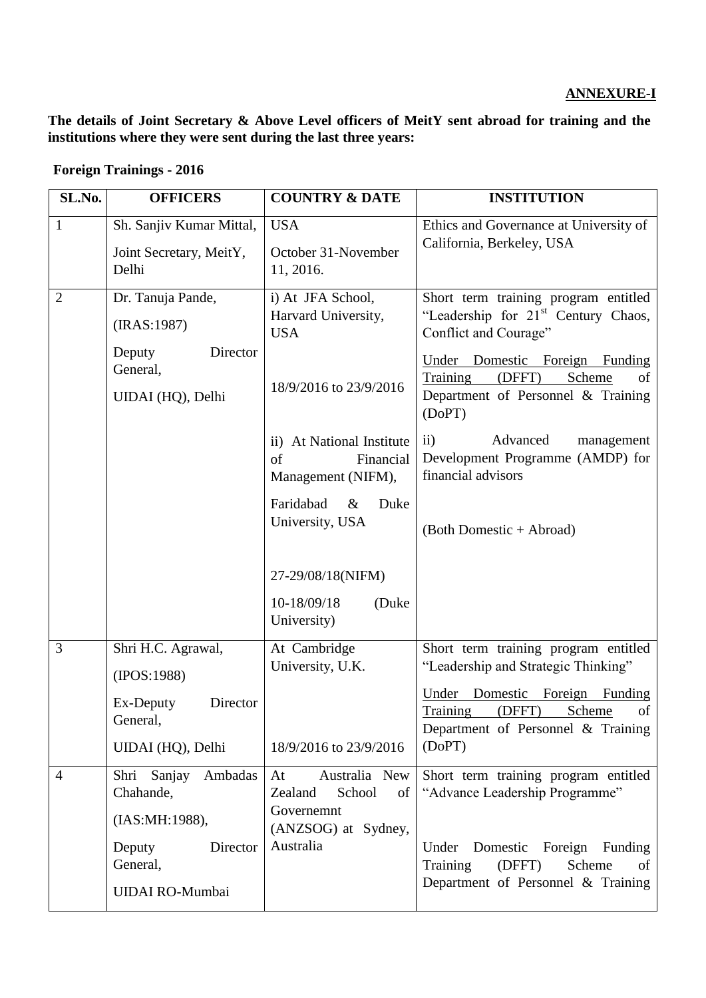# **ANNEXURE-I**

**The details of Joint Secretary & Above Level officers of MeitY sent abroad for training and the institutions where they were sent during the last three years:**

# **Foreign Trainings - 2016**

| SL.No.         | <b>OFFICERS</b>                                                     | <b>COUNTRY &amp; DATE</b>                                          | <b>INSTITUTION</b>                                                                                                   |
|----------------|---------------------------------------------------------------------|--------------------------------------------------------------------|----------------------------------------------------------------------------------------------------------------------|
| 1              | Sh. Sanjiv Kumar Mittal,<br>Joint Secretary, MeitY,<br>Delhi        | <b>USA</b><br>October 31-November<br>11, 2016.                     | Ethics and Governance at University of<br>California, Berkeley, USA                                                  |
| $\overline{2}$ | Dr. Tanuja Pande,<br>(IRAS:1987)                                    | i) At JFA School,<br>Harvard University,<br><b>USA</b>             | Short term training program entitled<br>"Leadership for 21 <sup>st</sup> Century Chaos,<br>Conflict and Courage"     |
|                | Director<br>Deputy<br>General,<br>UIDAI (HQ), Delhi                 | 18/9/2016 to 23/9/2016                                             | Under Domestic Foreign Funding<br>Training<br>Scheme<br>(DFFT)<br>οf<br>Department of Personnel & Training<br>(DoPT) |
|                |                                                                     | ii) At National Institute<br>of<br>Financial<br>Management (NIFM), | Advanced<br>$\mathbf{ii}$<br>management<br>Development Programme (AMDP) for<br>financial advisors                    |
|                |                                                                     | Faridabad<br>$\&$<br>Duke<br>University, USA                       | (Both Domestic + Abroad)                                                                                             |
|                |                                                                     | 27-29/08/18(NIFM)<br>10-18/09/18<br>(Duke)<br>University)          |                                                                                                                      |
| 3              | Shri H.C. Agrawal,<br>(IPOS:1988)                                   | At Cambridge<br>University, U.K.                                   | Short term training program entitled<br>"Leadership and Strategic Thinking"                                          |
|                | Ex-Deputy<br>Director<br>General,                                   |                                                                    | Under<br>Domestic Foreign<br>Funding<br>Training<br>(DFFT)<br>Scheme<br>of<br>Department of Personnel & Training     |
|                | UIDAI (HQ), Delhi                                                   | 18/9/2016 to 23/9/2016                                             | (DoPT)                                                                                                               |
| 4              | Shri<br>Sanjay Ambadas<br>Chahande,                                 | Australia New<br>At<br>Zealand<br>School<br>of<br>Governemnt       | Short term training program entitled<br>"Advance Leadership Programme"                                               |
|                | (IAS:MH:1988),<br>Deputy<br>Director<br>General,<br>UIDAI RO-Mumbai | (ANZSOG) at Sydney,<br>Australia                                   | Under Domestic Foreign Funding<br>Training<br>(DFFT)<br>Scheme<br>of<br>Department of Personnel & Training           |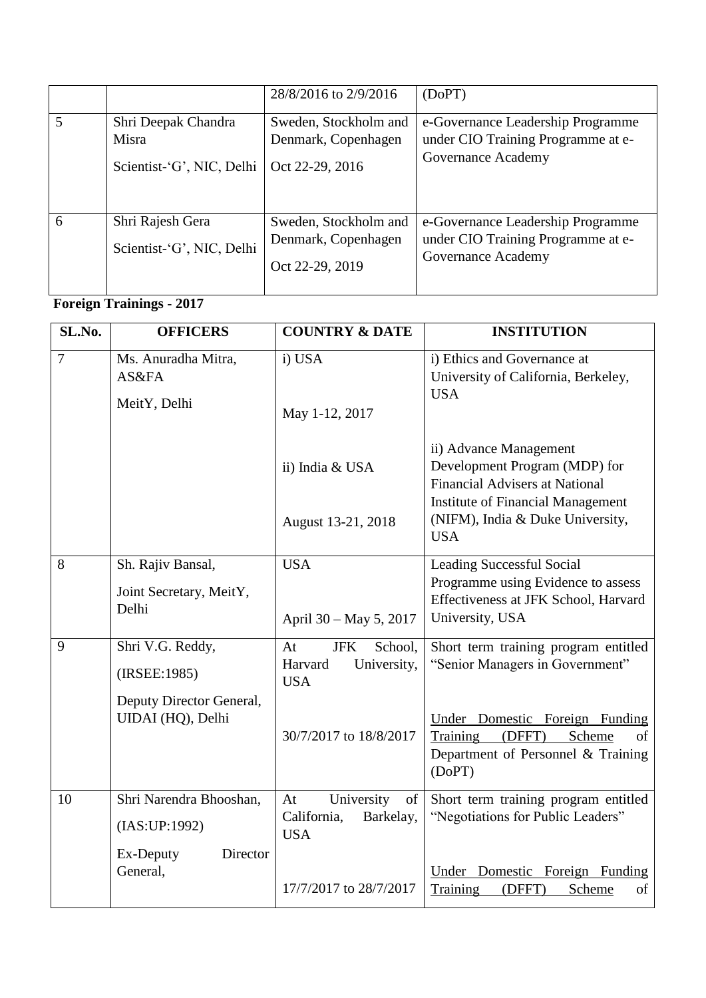|   |                                                           | 28/8/2016 to 2/9/2016                                           | (DoPT)                                                                                        |
|---|-----------------------------------------------------------|-----------------------------------------------------------------|-----------------------------------------------------------------------------------------------|
|   | Shri Deepak Chandra<br>Misra<br>Scientist-'G', NIC, Delhi | Sweden, Stockholm and<br>Denmark, Copenhagen<br>Oct 22-29, 2016 | e-Governance Leadership Programme<br>under CIO Training Programme at e-<br>Governance Academy |
| 6 | Shri Rajesh Gera<br>Scientist-'G', NIC, Delhi             | Sweden, Stockholm and<br>Denmark, Copenhagen<br>Oct 22-29, 2019 | e-Governance Leadership Programme<br>under CIO Training Programme at e-<br>Governance Academy |

# **Foreign Trainings - 2017**

| SL.No.         | <b>OFFICERS</b>                               | <b>COUNTRY &amp; DATE</b>                                           | <b>INSTITUTION</b>                                                                                                                           |
|----------------|-----------------------------------------------|---------------------------------------------------------------------|----------------------------------------------------------------------------------------------------------------------------------------------|
| $\overline{7}$ | Ms. Anuradha Mitra,<br>AS&FA<br>MeitY, Delhi  | i) USA<br>May 1-12, 2017                                            | i) Ethics and Governance at<br>University of California, Berkeley,<br><b>USA</b>                                                             |
|                |                                               | ii) India & USA                                                     | ii) Advance Management<br>Development Program (MDP) for<br><b>Financial Advisers at National</b><br><b>Institute of Financial Management</b> |
|                |                                               | August 13-21, 2018                                                  | (NIFM), India & Duke University,<br><b>USA</b>                                                                                               |
| 8              | Sh. Rajiv Bansal,                             | <b>USA</b>                                                          | <b>Leading Successful Social</b>                                                                                                             |
|                | Joint Secretary, MeitY,<br>Delhi              | April 30 – May 5, 2017                                              | Programme using Evidence to assess<br>Effectiveness at JFK School, Harvard<br>University, USA                                                |
| 9              | Shri V.G. Reddy,<br>(IRSEE:1985)              | <b>JFK</b><br>School,<br>At<br>Harvard<br>University,<br><b>USA</b> | Short term training program entitled<br>"Senior Managers in Government"                                                                      |
|                | Deputy Director General,<br>UIDAI (HQ), Delhi | 30/7/2017 to 18/8/2017                                              | Under Domestic Foreign Funding<br>Training<br>Scheme<br>(DFFT)<br>of<br>Department of Personnel & Training<br>(DoPT)                         |
| 10             | Shri Narendra Bhooshan,<br>(IAS:UP:1992)      | University<br>At<br>of<br>California,<br>Barkelay,<br><b>USA</b>    | Short term training program entitled<br>"Negotiations for Public Leaders"                                                                    |
|                | Ex-Deputy<br>Director<br>General,             | 17/7/2017 to 28/7/2017                                              | Domestic Foreign Funding<br>Under<br>Scheme<br>Training<br>(DFFT)<br>of                                                                      |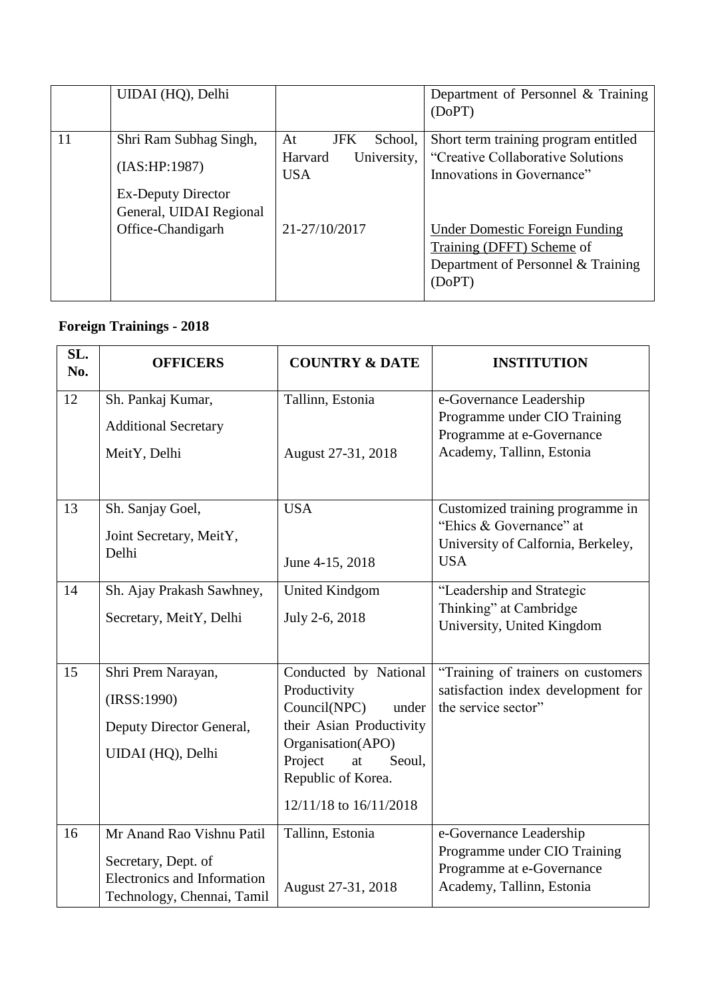|    | UIDAI (HQ), Delhi                                                     |                                      | Department of Personnel & Training<br>(DoPT)                                                                       |
|----|-----------------------------------------------------------------------|--------------------------------------|--------------------------------------------------------------------------------------------------------------------|
| 11 | Shri Ram Subhag Singh,                                                | <b>JFK</b><br>At<br>School,          | Short term training program entitled                                                                               |
|    | (IAS:HP:1987)<br><b>Ex-Deputy Director</b><br>General, UIDAI Regional | Harvard<br>University,<br><b>USA</b> | "Creative Collaborative Solutions"<br>Innovations in Governance"                                                   |
|    | Office-Chandigarh                                                     | 21-27/10/2017                        | <b>Under Domestic Foreign Funding</b><br>Training (DFFT) Scheme of<br>Department of Personnel & Training<br>(DoPT) |

# **Foreign Trainings - 2018**

| SL.<br>No. | <b>OFFICERS</b>                                                                                               | <b>COUNTRY &amp; DATE</b>                                                                                                                                                                  | <b>INSTITUTION</b>                                                                                                |
|------------|---------------------------------------------------------------------------------------------------------------|--------------------------------------------------------------------------------------------------------------------------------------------------------------------------------------------|-------------------------------------------------------------------------------------------------------------------|
| 12         | Sh. Pankaj Kumar,<br><b>Additional Secretary</b><br>MeitY, Delhi                                              | Tallinn, Estonia<br>August 27-31, 2018                                                                                                                                                     | e-Governance Leadership<br>Programme under CIO Training<br>Programme at e-Governance<br>Academy, Tallinn, Estonia |
| 13         | Sh. Sanjay Goel,<br>Joint Secretary, MeitY,<br>Delhi                                                          | <b>USA</b><br>June 4-15, 2018                                                                                                                                                              | Customized training programme in<br>"Ehics & Governance" at<br>University of Calfornia, Berkeley,<br><b>USA</b>   |
| 14         | Sh. Ajay Prakash Sawhney,<br>Secretary, MeitY, Delhi                                                          | <b>United Kindgom</b><br>July 2-6, 2018                                                                                                                                                    | "Leadership and Strategic<br>Thinking" at Cambridge<br>University, United Kingdom                                 |
| 15         | Shri Prem Narayan,<br>(IRSS:1990)<br>Deputy Director General,<br>UIDAI (HQ), Delhi                            | Conducted by National<br>Productivity<br>Council(NPC)<br>under<br>their Asian Productivity<br>Organisation(APO)<br>Project<br>at<br>Seoul,<br>Republic of Korea.<br>12/11/18 to 16/11/2018 | "Training of trainers on customers"<br>satisfaction index development for<br>the service sector"                  |
| 16         | Mr Anand Rao Vishnu Patil<br>Secretary, Dept. of<br>Electronics and Information<br>Technology, Chennai, Tamil | Tallinn, Estonia<br>August 27-31, 2018                                                                                                                                                     | e-Governance Leadership<br>Programme under CIO Training<br>Programme at e-Governance<br>Academy, Tallinn, Estonia |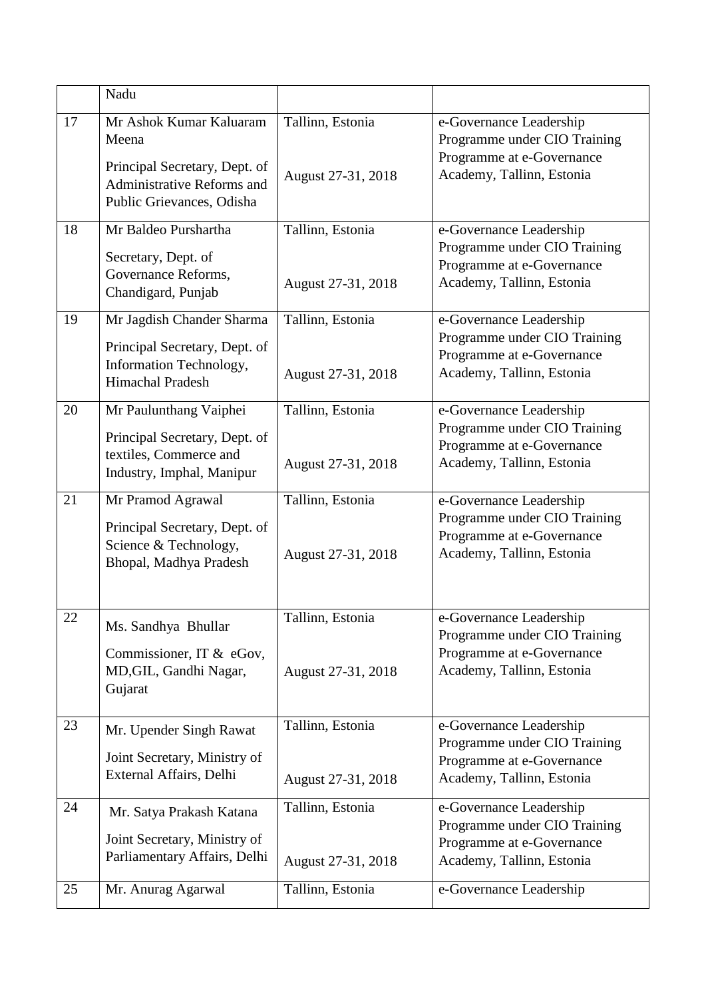|    | Nadu                                                                                                                         |                                        |                                                                                                                   |
|----|------------------------------------------------------------------------------------------------------------------------------|----------------------------------------|-------------------------------------------------------------------------------------------------------------------|
| 17 | Mr Ashok Kumar Kaluaram<br>Meena<br>Principal Secretary, Dept. of<br>Administrative Reforms and<br>Public Grievances, Odisha | Tallinn, Estonia<br>August 27-31, 2018 | e-Governance Leadership<br>Programme under CIO Training<br>Programme at e-Governance<br>Academy, Tallinn, Estonia |
| 18 | Mr Baldeo Purshartha<br>Secretary, Dept. of<br>Governance Reforms,<br>Chandigard, Punjab                                     | Tallinn, Estonia<br>August 27-31, 2018 | e-Governance Leadership<br>Programme under CIO Training<br>Programme at e-Governance<br>Academy, Tallinn, Estonia |
| 19 | Mr Jagdish Chander Sharma<br>Principal Secretary, Dept. of<br>Information Technology,<br>Himachal Pradesh                    | Tallinn, Estonia<br>August 27-31, 2018 | e-Governance Leadership<br>Programme under CIO Training<br>Programme at e-Governance<br>Academy, Tallinn, Estonia |
| 20 | Mr Paulunthang Vaiphei<br>Principal Secretary, Dept. of<br>textiles, Commerce and<br>Industry, Imphal, Manipur               | Tallinn, Estonia<br>August 27-31, 2018 | e-Governance Leadership<br>Programme under CIO Training<br>Programme at e-Governance<br>Academy, Tallinn, Estonia |
| 21 | Mr Pramod Agrawal<br>Principal Secretary, Dept. of<br>Science & Technology,<br>Bhopal, Madhya Pradesh                        | Tallinn, Estonia<br>August 27-31, 2018 | e-Governance Leadership<br>Programme under CIO Training<br>Programme at e-Governance<br>Academy, Tallinn, Estonia |
| 22 | Ms. Sandhya Bhullar<br>Commissioner, IT & eGov,<br>MD, GIL, Gandhi Nagar,<br>Gujarat                                         | Tallinn, Estonia<br>August 27-31, 2018 | e-Governance Leadership<br>Programme under CIO Training<br>Programme at e-Governance<br>Academy, Tallinn, Estonia |
| 23 | Mr. Upender Singh Rawat<br>Joint Secretary, Ministry of<br>External Affairs, Delhi                                           | Tallinn, Estonia<br>August 27-31, 2018 | e-Governance Leadership<br>Programme under CIO Training<br>Programme at e-Governance<br>Academy, Tallinn, Estonia |
| 24 | Mr. Satya Prakash Katana<br>Joint Secretary, Ministry of<br>Parliamentary Affairs, Delhi                                     | Tallinn, Estonia<br>August 27-31, 2018 | e-Governance Leadership<br>Programme under CIO Training<br>Programme at e-Governance<br>Academy, Tallinn, Estonia |
| 25 | Mr. Anurag Agarwal                                                                                                           | Tallinn, Estonia                       | e-Governance Leadership                                                                                           |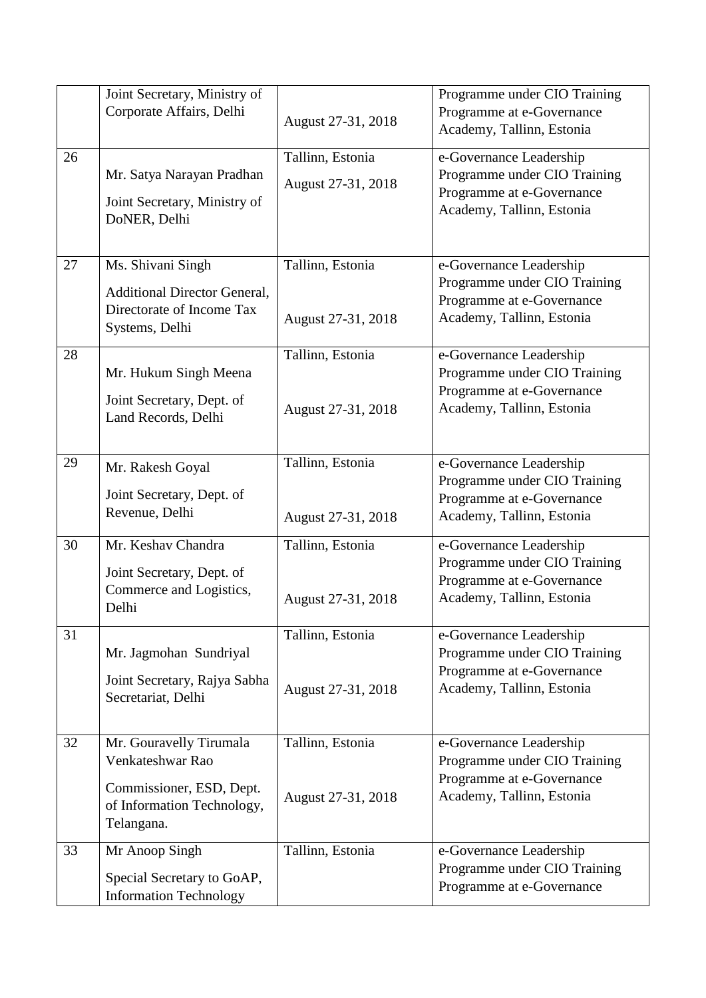|    | Joint Secretary, Ministry of<br>Corporate Affairs, Delhi                                                            | August 27-31, 2018                     | Programme under CIO Training<br>Programme at e-Governance<br>Academy, Tallinn, Estonia                            |
|----|---------------------------------------------------------------------------------------------------------------------|----------------------------------------|-------------------------------------------------------------------------------------------------------------------|
| 26 | Mr. Satya Narayan Pradhan<br>Joint Secretary, Ministry of<br>DoNER, Delhi                                           | Tallinn, Estonia<br>August 27-31, 2018 | e-Governance Leadership<br>Programme under CIO Training<br>Programme at e-Governance<br>Academy, Tallinn, Estonia |
| 27 | Ms. Shivani Singh<br><b>Additional Director General,</b><br>Directorate of Income Tax<br>Systems, Delhi             | Tallinn, Estonia<br>August 27-31, 2018 | e-Governance Leadership<br>Programme under CIO Training<br>Programme at e-Governance<br>Academy, Tallinn, Estonia |
| 28 | Mr. Hukum Singh Meena<br>Joint Secretary, Dept. of<br>Land Records, Delhi                                           | Tallinn, Estonia<br>August 27-31, 2018 | e-Governance Leadership<br>Programme under CIO Training<br>Programme at e-Governance<br>Academy, Tallinn, Estonia |
| 29 | Mr. Rakesh Goyal<br>Joint Secretary, Dept. of<br>Revenue, Delhi                                                     | Tallinn, Estonia<br>August 27-31, 2018 | e-Governance Leadership<br>Programme under CIO Training<br>Programme at e-Governance<br>Academy, Tallinn, Estonia |
| 30 | Mr. Keshav Chandra<br>Joint Secretary, Dept. of<br>Commerce and Logistics,<br>Delhi                                 | Tallinn, Estonia<br>August 27-31, 2018 | e-Governance Leadership<br>Programme under CIO Training<br>Programme at e-Governance<br>Academy, Tallinn, Estonia |
| 31 | Mr. Jagmohan Sundriyal<br>Joint Secretary, Rajya Sabha<br>Secretariat, Delhi                                        | Tallinn, Estonia<br>August 27-31, 2018 | e-Governance Leadership<br>Programme under CIO Training<br>Programme at e-Governance<br>Academy, Tallinn, Estonia |
| 32 | Mr. Gouravelly Tirumala<br>Venkateshwar Rao<br>Commissioner, ESD, Dept.<br>of Information Technology,<br>Telangana. | Tallinn, Estonia<br>August 27-31, 2018 | e-Governance Leadership<br>Programme under CIO Training<br>Programme at e-Governance<br>Academy, Tallinn, Estonia |
| 33 | Mr Anoop Singh<br>Special Secretary to GoAP,<br><b>Information Technology</b>                                       | Tallinn, Estonia                       | e-Governance Leadership<br>Programme under CIO Training<br>Programme at e-Governance                              |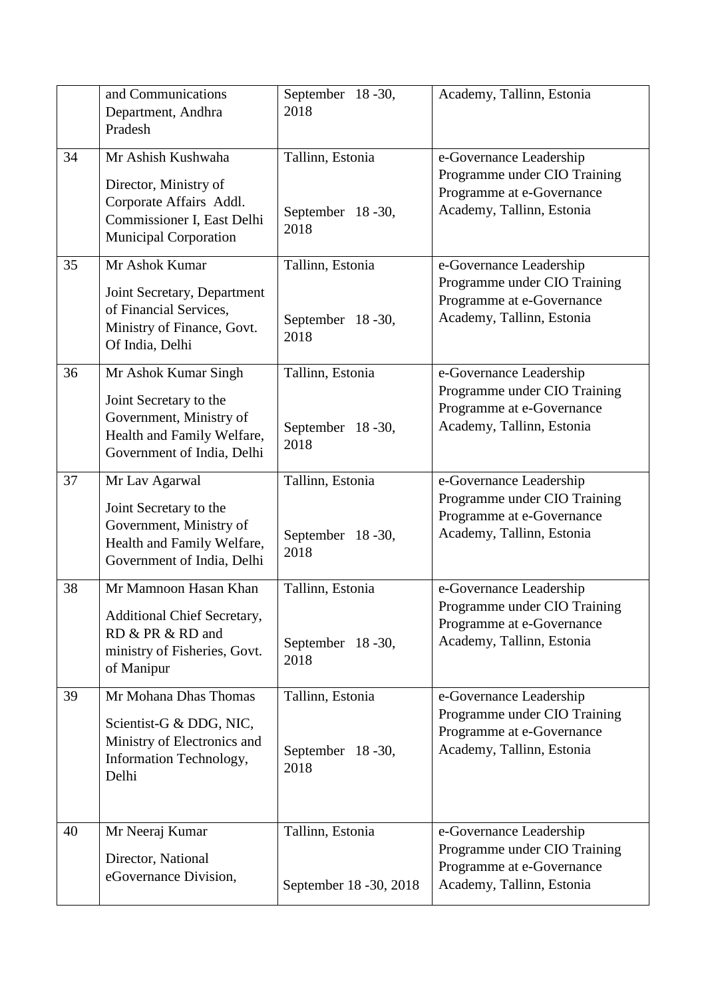|    | and Communications<br>Department, Andhra<br>Pradesh                                                                                   | September 18-30,<br>2018                     | Academy, Tallinn, Estonia                                                                                         |
|----|---------------------------------------------------------------------------------------------------------------------------------------|----------------------------------------------|-------------------------------------------------------------------------------------------------------------------|
| 34 | Mr Ashish Kushwaha<br>Director, Ministry of<br>Corporate Affairs Addl.<br>Commissioner I, East Delhi<br><b>Municipal Corporation</b>  | Tallinn, Estonia<br>September 18-30,<br>2018 | e-Governance Leadership<br>Programme under CIO Training<br>Programme at e-Governance<br>Academy, Tallinn, Estonia |
| 35 | Mr Ashok Kumar<br>Joint Secretary, Department<br>of Financial Services,<br>Ministry of Finance, Govt.<br>Of India, Delhi              | Tallinn, Estonia<br>September 18-30,<br>2018 | e-Governance Leadership<br>Programme under CIO Training<br>Programme at e-Governance<br>Academy, Tallinn, Estonia |
| 36 | Mr Ashok Kumar Singh<br>Joint Secretary to the<br>Government, Ministry of<br>Health and Family Welfare,<br>Government of India, Delhi | Tallinn, Estonia<br>September 18-30,<br>2018 | e-Governance Leadership<br>Programme under CIO Training<br>Programme at e-Governance<br>Academy, Tallinn, Estonia |
| 37 | Mr Lav Agarwal<br>Joint Secretary to the<br>Government, Ministry of<br>Health and Family Welfare,<br>Government of India, Delhi       | Tallinn, Estonia<br>September 18-30,<br>2018 | e-Governance Leadership<br>Programme under CIO Training<br>Programme at e-Governance<br>Academy, Tallinn, Estonia |
| 38 | Mr Mamnoon Hasan Khan<br>Additional Chief Secretary,<br>RD & PR & RD and<br>ministry of Fisheries, Govt.<br>of Manipur                | Tallinn, Estonia<br>September 18-30,<br>2018 | e-Governance Leadership<br>Programme under CIO Training<br>Programme at e-Governance<br>Academy, Tallinn, Estonia |
| 39 | Mr Mohana Dhas Thomas<br>Scientist-G & DDG, NIC,<br>Ministry of Electronics and<br>Information Technology,<br>Delhi                   | Tallinn, Estonia<br>September 18-30,<br>2018 | e-Governance Leadership<br>Programme under CIO Training<br>Programme at e-Governance<br>Academy, Tallinn, Estonia |
| 40 | Mr Neeraj Kumar<br>Director, National<br>eGovernance Division,                                                                        | Tallinn, Estonia<br>September 18 - 30, 2018  | e-Governance Leadership<br>Programme under CIO Training<br>Programme at e-Governance<br>Academy, Tallinn, Estonia |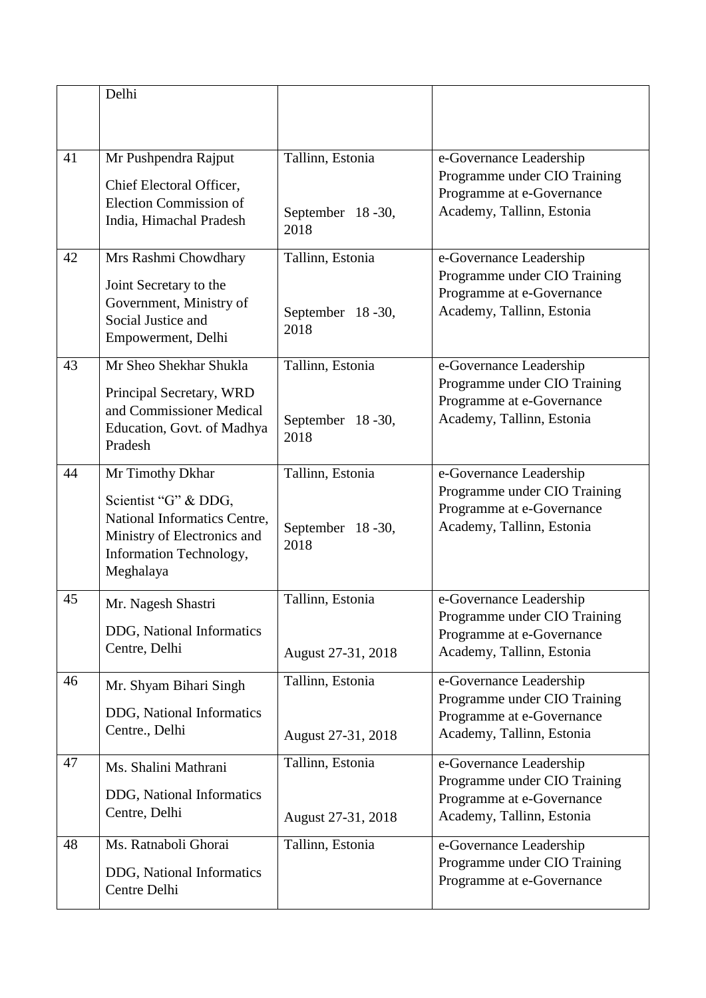|    | Delhi                                                                                                                                           |                                              |                                                                                                                   |
|----|-------------------------------------------------------------------------------------------------------------------------------------------------|----------------------------------------------|-------------------------------------------------------------------------------------------------------------------|
| 41 | Mr Pushpendra Rajput<br>Chief Electoral Officer,<br><b>Election Commission of</b><br>India, Himachal Pradesh                                    | Tallinn, Estonia<br>September 18-30,<br>2018 | e-Governance Leadership<br>Programme under CIO Training<br>Programme at e-Governance<br>Academy, Tallinn, Estonia |
| 42 | Mrs Rashmi Chowdhary<br>Joint Secretary to the<br>Government, Ministry of<br>Social Justice and<br>Empowerment, Delhi                           | Tallinn, Estonia<br>September 18-30,<br>2018 | e-Governance Leadership<br>Programme under CIO Training<br>Programme at e-Governance<br>Academy, Tallinn, Estonia |
| 43 | Mr Sheo Shekhar Shukla<br>Principal Secretary, WRD<br>and Commissioner Medical<br>Education, Govt. of Madhya<br>Pradesh                         | Tallinn, Estonia<br>September 18-30,<br>2018 | e-Governance Leadership<br>Programme under CIO Training<br>Programme at e-Governance<br>Academy, Tallinn, Estonia |
| 44 | Mr Timothy Dkhar<br>Scientist "G" & DDG,<br>National Informatics Centre,<br>Ministry of Electronics and<br>Information Technology,<br>Meghalaya | Tallinn, Estonia<br>September 18-30,<br>2018 | e-Governance Leadership<br>Programme under CIO Training<br>Programme at e-Governance<br>Academy, Tallinn, Estonia |
| 45 | Mr. Nagesh Shastri<br>DDG, National Informatics<br>Centre, Delhi                                                                                | Tallinn, Estonia<br>August 27-31, 2018       | e-Governance Leadership<br>Programme under CIO Training<br>Programme at e-Governance<br>Academy, Tallinn, Estonia |
| 46 | Mr. Shyam Bihari Singh<br>DDG, National Informatics<br>Centre., Delhi                                                                           | Tallinn, Estonia<br>August 27-31, 2018       | e-Governance Leadership<br>Programme under CIO Training<br>Programme at e-Governance<br>Academy, Tallinn, Estonia |
| 47 | Ms. Shalini Mathrani<br>DDG, National Informatics<br>Centre, Delhi                                                                              | Tallinn, Estonia<br>August 27-31, 2018       | e-Governance Leadership<br>Programme under CIO Training<br>Programme at e-Governance<br>Academy, Tallinn, Estonia |
| 48 | Ms. Ratnaboli Ghorai<br>DDG, National Informatics<br>Centre Delhi                                                                               | Tallinn, Estonia                             | e-Governance Leadership<br>Programme under CIO Training<br>Programme at e-Governance                              |